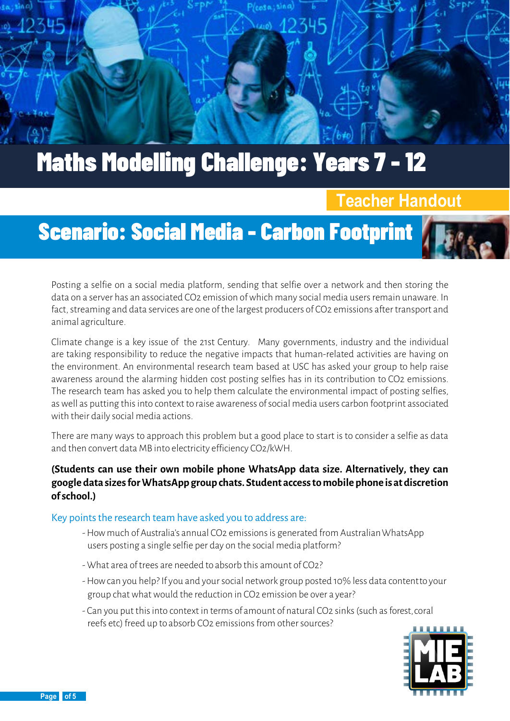

### **Teacher Handout**

# Scenario: Social Media - Carbon Footprint

Posting a selfie on a social media platform, sending that selfie over a network and then storing the data on a server has an associated CO2 emission of which many social media users remain unaware. In fact, streaming and data services are one of the largest producers of CO2 emissions after transport and animal agriculture.

Climate change is a key issue of the 21st Century. Many governments, industry and the individual are taking responsibility to reduce the negative impacts that human-related activities are having on the environment. An environmental research team based at USC has asked your group to help raise awareness around the alarming hidden cost posting selfies has in its contribution to CO2 emissions. The research team has asked you to help them calculate the environmental impact of posting selfies, as well as putting this into context to raise awareness of social media users carbon footprint associated with their daily social media actions.

There are many ways to approach this problem but a good place to start is to consider a selfie as data and then convert data MB into electricity efficiency CO2/kWH.

#### **(Students can use their own mobile phone WhatsApp data size. Alternatively, they can googledatasizesforWhatsApp group chats.Student accesstomobilephone isatdiscretion ofschool.)**

#### Key points the research team have asked you to address are:

- -How much of Australia's annual CO2 emissions is generated from AustralianWhatsApp users posting a single selfie per day on the social media platform?
- What area of trees are needed to absorb this amount of CO2?
- -How can you help? If you and your social network group posted 10% less data contentto your group chat what would the reduction in CO2 emission be over a year?
- Can you put this into context in terms of amount of natural CO2 sinks (such as forest,coral reefs etc) freed up to absorb CO2 emissions from other sources?



 $\left( \frac{\alpha}{\epsilon} \right)$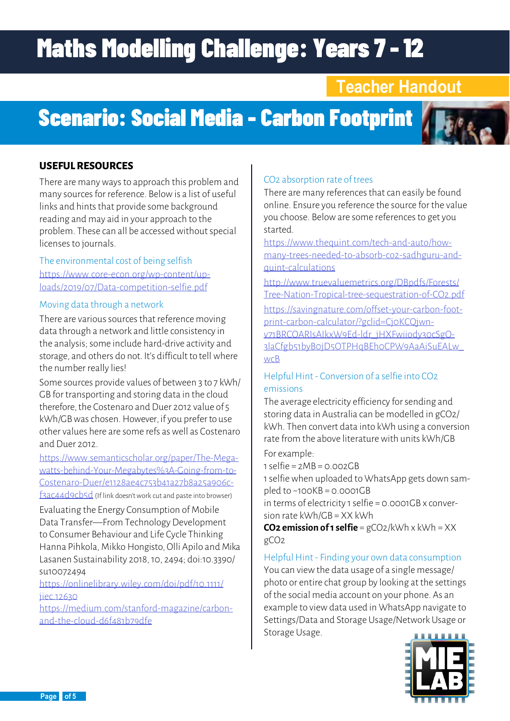### **Teacher Handout**

## Scenario: Social Media - Carbon Footprint



### **USEFUL RESOURCES**

There are many ways to approach this problem and many sources for reference. Below is a list of useful links and hints that provide some background reading and may aid in your approach to the problem. These can all be accessed without special licenses to journals.

The environmental cost of being selfish [https://www.core-econ.org/wp-content/up](https://www.core-econ.org/wp-content/uploads/2019/07/Data-competition-selfie.pdf)[loads/2019/07/Data-competition-selfie.pdf](https://www.core-econ.org/wp-content/uploads/2019/07/Data-competition-selfie.pdf)

### Moving data through a network

There are various sources that reference moving data through a network and little consistency in the analysis; some include hard-drive activity and storage, and others do not. It's difficult to tell where the number really lies!

Some sources provide values of between 3 to 7 kWh/ GB for transporting and storing data in the cloud therefore, the Costenaro and Duer 2012 value of 5 kWh/GB was chosen. However, if you prefer to use other values here are some refs as well as Costenaro and Duer 2012.

[https://www.semanticscholar.org/paper/The-Mega](https://www.semanticscholar.org/paper/The-Megawatts-behind-Your-Megabytes%3A-Going-from-to-Costenaro-Duer/e1128ae4c753b41a27b8a25a906cf3ac44d9cb5d)[watts-behind-Your-Megabytes%3A-Going-from-to-](https://www.semanticscholar.org/paper/The-Megawatts-behind-Your-Megabytes%3A-Going-from-to-Costenaro-Duer/e1128ae4c753b41a27b8a25a906cf3ac44d9cb5d)[Costenaro-Duer/e1128ae4c753b41a27b8a25a906c-](https://www.semanticscholar.org/paper/The-Megawatts-behind-Your-Megabytes%3A-Going-from-to-Costenaro-Duer/e1128ae4c753b41a27b8a25a906cf3ac44d9cb5d)

[f3ac44d9cb5d](https://www.semanticscholar.org/paper/The-Megawatts-behind-Your-Megabytes%3A-Going-from-to-Costenaro-Duer/e1128ae4c753b41a27b8a25a906cf3ac44d9cb5d) (If link doesn't work cut and paste into browser)

Evaluating the Energy Consumption of Mobile Data Transfer—From Technology Development to Consumer Behaviour and Life Cycle Thinking Hanna Pihkola, Mikko Hongisto, Olli Apilo and Mika Lasanen Sustainability 2018, 10, 2494; doi:10.3390/ su10072494

[https://onlinelibrary.wiley.com/doi/pdf/10.1111/](https://onlinelibrary.wiley.com/doi/pdf/10.1111/jiec.12630) ijec. 12630.

[https://medium.com/stanford-magazine/carbon](https://medium.com/stanford-magazine/carbon-and-the-cloud-d6f481b79dfe)[and-the-cloud-d6f481b79dfe](https://medium.com/stanford-magazine/carbon-and-the-cloud-d6f481b79dfe)

### CO2 absorption rate of trees

There are many references that can easily be found online. Ensure you reference the source for the value you choose. Below are some references to get you started.

[https://www.thequint.com/tech-and-auto/how](https://www.thequint.com/tech-and-auto/how-many-trees-needed-to-absorb-co2-sadhguru-and-quint-calculations)[many-trees-needed-to-absorb-co2-sadhguru-and](https://www.thequint.com/tech-and-auto/how-many-trees-needed-to-absorb-co2-sadhguru-and-quint-calculations)[quint-calculations](https://www.thequint.com/tech-and-auto/how-many-trees-needed-to-absorb-co2-sadhguru-and-quint-calculations)

[http://www.truevaluemetrics.org/DBpdfs/Forests/](http://www.truevaluemetrics.org/DBpdfs/Forests/Tree-Nation-Tropical-tree-sequestration-of-CO2.pdf) [Tree-Nation-Tropical-tree-sequestration-of-CO2.pdf](http://www.truevaluemetrics.org/DBpdfs/Forests/Tree-Nation-Tropical-tree-sequestration-of-CO2.pdf)

[https://savingnature.com/offset-your-carbon-foot](https://savingnature.com/offset-your-carbon-footprint-carbon-calculator/?gclid=Cj0KCQjwnv71BRCOARIsA)[print-carbon-calculator/?gclid=Cj0KCQjwn](https://savingnature.com/offset-your-carbon-footprint-carbon-calculator/?gclid=Cj0KCQjwnv71BRCOARIsA)[v71BRCOARIsAIkxW9Ed-ldr\\_jHXFwiiody30cSgO-](https://savingnature.com/offset-your-carbon-footprint-carbon-calculator/?gclid=Cj0KCQjwnv71BRCOARIsA)[3laCfgb51byB0jD5OTPHqBEh0CPW9AaAiSuEALw\\_](https://savingnature.com/offset-your-carbon-footprint-carbon-calculator/?gclid=Cj0KCQjwnv71BRCOARIsA) [wcB](https://savingnature.com/offset-your-carbon-footprint-carbon-calculator/?gclid=Cj0KCQjwnv71BRCOARIsA)

### Helpful Hint - Conversion of a selfie into CO2 emissions

The average electricity efficiency for sending and storing data in Australia can be modelled in gCO2/ kWh. Then convert data into kWh using a conversion rate from the above literature with units kWh/GB

For example:

 $1$  selfie =  $2MB = 0.002GB$ 

1 selfie when uploaded to WhatsApp gets down sampled to  $~100KB = 0.0001GB$ 

in terms of electricity 1 selfie = 0.0001GB x conversion rate kWh/GB = XX kWh

**CO2 emission of 1 selfie** = gCO2/kWh x kWh = XX gCO2

Helpful Hint - Finding your own data consumption You can view the data usage of a single message/ photo or entire chat group by looking at the settings of the social media account on your phone. As an example to view data used in WhatsApp navigate to Settings/Data and Storage Usage/Network Usage or Storage Usage.



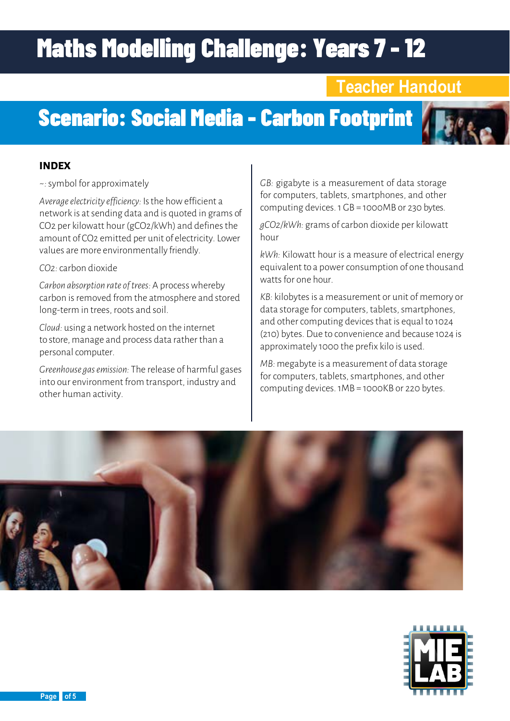### **Teacher Handout**

# Scenario: Social Media - Carbon Footprint

### **INDEX**

*~:* symbol for approximately

*Average electricity efficiency:* Is the how efficient a network is at sending data and is quoted in grams of CO2 per kilowatt hour (gCO2/kWh) and defines the amount of CO2 emitted per unit of electricity. Lower values are more environmentally friendly.

#### *CO2:*carbon dioxide

*Carbon absorption rate of trees:* A process whereby carbon is removed from the atmosphere and stored long-term in trees, roots and soil.

*Cloud:* using a network hosted on the internet to store, manage and process data rather than a personal computer.

*Greenhouse gas emission:* The release of harmful gases into our environment from transport, industry and other human activity.

*GB:* gigabyte is a measurement of data storage for computers, tablets, smartphones, and other computing devices. 1 GB = 1000MB or 230 bytes.

*gCO2/kWh:* grams of carbon dioxide per kilowatt hour

*kWh:* Kilowatt hour is a measure of electrical energy equivalent to a power consumption of one thousand watts for one hour.

*KB:* kilobytes is a measurement or unit of memory or data storage for computers, tablets, smartphones, and other computing devices that is equal to 1024 (210) bytes. Due to convenience and because 1024 is approximately 1000 the prefix kilo is used.

*MB:* megabyte is a measurement of data storage for computers, tablets, smartphones, and other computing devices. 1MB = 1000KB or 220 bytes.





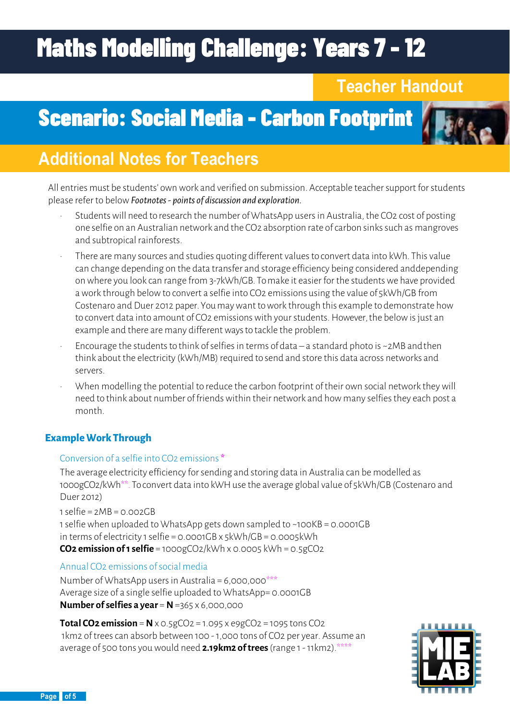## **Teacher Handout**

## Scenario: Social Media - Carbon Footprint



## **Additional Notes for Teachers**

All entries must be students' own work and verified on submission. Acceptable teacher support for students please refer to below *Footnotes - points of discussion and exploration.*

- Students will need to research the number of WhatsApp users in Australia, the CO2 cost of posting one selfie on an Australian network and the CO2 absorption rate of carbon sinks such as mangroves and subtropical rainforests.
- There are many sources and studies quoting different values to convert data into kWh. This value can change depending on the data transfer and storage efficiency being considered anddepending on where you look can range from 3-7kWh/GB. To make it easier for the students we have provided a work through below to convert a selfie into CO2 emissions using the value of 5kWh/GB from Costenaro and Duer 2012 paper. You may want to work through this example to demonstrate how to convert data into amount of CO2 emissions with your students. However, the below is just an example and there are many different ways to tackle the problem.
- Encourage the students to think of selfies in terms of data a standard photo is ~2MB and then think about the electricity (kWh/MB) required to send and store this data across networks and servers.
- When modelling the potential to reduce the carbon footprint of their own social network they will need to think about number of friends within their network and how many selfies they each post a month.

### **Example Work Through**

### Conversion of a selfie into CO2 emissions **\***

The average electricity efficiency for sending and storing data in Australia can be modelled as 1000gCO2/kWh\*\*. To convert data into kWH use the average global value of 5kWh/GB (Costenaro and Duer 2012)

 $1$  selfie =  $2MB = 0.002GB$ 1 selfie when uploaded to WhatsApp gets down sampled to ~100KB = 0.0001GB in terms of electricity 1 selfie = 0.0001GB x 5kWh/GB = 0.0005kWh **CO2 emission of 1 selfie** = 1000gCO2/kWh x 0.0005 kWh = 0.5gCO2

### Annual CO2 emissions of social media

Number of WhatsApp users in Australia =  $6,000,000$ \*\*\* Average size of a single selfie uploaded to WhatsApp= 0.0001GB **Number of selfies a year = N =365 x 6,000,000** 

**Total CO2 emission =**  $N \times 0.5gCO2 = 1.095 \times 9gCO2 = 1095$  **tons CO2** 1km2 of trees can absorb between 100 - 1,000 tons of CO2 per year. Assume an average of 500 tons you would need **2.19km2 of trees** (range 1 - 11km2).\*\*\*\*